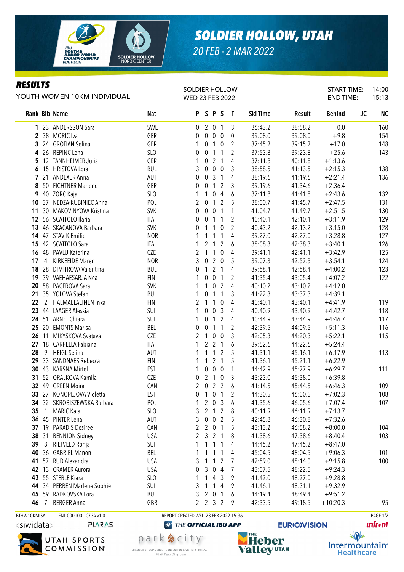

## *SOLDIER HOLLOW, UTAH*

*20 FEB - 2 MAR 2022*

## *RESULTS*

| YOUTH WOMEN 10KM INDIVIDUAL |                                            |            | <b>SOLDIER HOLLOW</b><br>WED 23 FEB 2022 |                |                  |                |                |          |         | START TIME:<br><b>END TIME:</b> |           | 14:00<br>15:13 |
|-----------------------------|--------------------------------------------|------------|------------------------------------------|----------------|------------------|----------------|----------------|----------|---------|---------------------------------|-----------|----------------|
| Rank Bib Name               |                                            | Nat        |                                          |                | PSPS             |                | $\mathbf{I}$   | Ski Time | Result  | <b>Behind</b>                   | <b>JC</b> | <b>NC</b>      |
|                             | 1 23 ANDERSSON Sara                        | SWE        | $\theta$                                 |                | $2\quad 0$       | $\mathbf{1}$   | 3              | 36:43.2  | 38:58.2 | 0.0                             |           | 160            |
|                             | 2 38 MORIC Iva                             | GER        | 0                                        | $\overline{0}$ | $\mathbf 0$      | $\mathbf 0$    | 0              | 39:08.0  | 39:08.0 | $+9.8$                          |           | 154            |
|                             | 3 24 GROTIAN Selina                        | GER        | 1                                        | $\mathbf 0$    | $\mathbf{1}$     | 0              | $\overline{2}$ | 37:45.2  | 39:15.2 | $+17.0$                         |           | 148            |
|                             | 4 26 REPINC Lena                           | SLO        | 0                                        | 0              | $\mathbf{1}$     | $\mathbf{1}$   | 2              | 37:53.8  | 39:23.8 | $+25.6$                         |           | 143            |
|                             | 5 12 TANNHEIMER Julia                      | GER        | 1                                        | $\pmb{0}$      | $\overline{2}$   | $\mathbf{1}$   | 4              | 37:11.8  | 40:11.8 | $+1:13.6$                       |           |                |
| 615                         | <b>HRISTOVA Lora</b>                       | <b>BUL</b> | 3                                        | $\pmb{0}$      | $\overline{0}$   | $\mathbf 0$    | 3              | 38:58.5  | 41:13.5 | $+2:15.3$                       |           | 138            |
| 721                         | <b>ANDEXER Anna</b>                        | AUT        | 0                                        | $\pmb{0}$      | $\mathfrak{Z}$   | $\mathbf{1}$   | 4              | 38:19.6  | 41:19.6 | $+2:21.4$                       |           | 136            |
|                             | 8 50 FICHTNER Marlene                      | GER        | 0                                        | 0              | 1                | $\overline{2}$ | 3              | 39:19.6  | 41:34.6 | $+2:36.4$                       |           |                |
| 9 40                        | ZORC Kaja                                  | SLO        | 1                                        | 1              | $\mathbf 0$      | $\overline{4}$ | 6              | 37:11.8  | 41:41.8 | $+2:43.6$                       |           | 132            |
| 10 37                       | NEDZA-KUBINIEC Anna                        | POL        | 2                                        | $\pmb{0}$      | $\mathbf{1}$     | $\overline{2}$ | 5              | 38:00.7  | 41:45.7 | $+2:47.5$                       |           | 131            |
| 11                          | 30 MAKOVINYOVA Kristina                    | <b>SVK</b> | 0                                        | 0              | $\overline{0}$   | $\mathbf{1}$   | 1              | 41:04.7  | 41:49.7 | $+2:51.5$                       |           | 130            |
|                             | 12 56 SCATTOLO Ilaria                      | ITA        | 0                                        | $\mathbf{0}$   | $\mathbf{1}$     | $\mathbf{1}$   | 2              | 40:40.1  | 42:10.1 | $+3:11.9$                       |           | 129            |
|                             | 13 46 SKACANOVA Barbara                    | <b>SVK</b> | 0                                        | 1              | $\overline{1}$   | $\overline{0}$ | 2              | 40:43.2  | 42:13.2 | $+3:15.0$                       |           | 128            |
|                             | 14 47 STAVIK Emilie                        | <b>NOR</b> | 1                                        | 1              | $\mathbf{1}$     | $\mathbf{1}$   | 4              | 39:27.0  | 42:27.0 | $+3:28.8$                       |           | 127            |
|                             | 15 42 SCATTOLO Sara                        | ITA        | 1                                        | $\overline{2}$ | $\overline{1}$   | $\overline{2}$ | 6              | 38:08.3  | 42:38.3 | $+3:40.1$                       |           | 126            |
|                             | 16 48 PAVLU Katerina                       | CZE        | 2                                        | $\mathbf{1}$   | $\mathbf{1}$     | 0              | 4              | 39:41.1  | 42:41.1 | $+3:42.9$                       |           | 125            |
| 17<br>$\overline{4}$        | <b>KIRKEEIDE Maren</b>                     | <b>NOR</b> | 3                                        | $\overline{0}$ | 2                | $\mathbf 0$    | 5              | 39:07.3  | 42:52.3 | $+3:54.1$                       |           | 124            |
| 18                          | 28 DIMITROVA Valentina                     | <b>BUL</b> | 0                                        | $\mathbf{1}$   | $\overline{2}$   | $\overline{1}$ | 4              | 39:58.4  | 42:58.4 | $+4:00.2$                       |           | 123            |
|                             | 19 39 VAEHAESARJA Nea                      | <b>FIN</b> | 1                                        | 0              | $\mathbf 0$      | $\mathbf{1}$   | 2              | 41:35.4  | 43:05.4 | $+4:07.2$                       |           | 122            |
|                             | 20 58 PACEROVA Sara                        | <b>SVK</b> | 1                                        | 1              | $\mathbf 0$      | $\overline{2}$ | 4              | 40:10.2  | 43:10.2 | $+4:12.0$                       |           |                |
|                             | 21 35 YOLOVA Stefani                       | <b>BUL</b> | 1                                        | 0              | $\mathbf{1}$     | $\mathbf{1}$   | 3              | 41:22.3  | 43:37.3 | $+4:39.1$                       |           |                |
| 22                          | 2 HAEMAELAEINEN Inka                       | <b>FIN</b> | 2                                        | $\mathbf{1}$   | $\mathbf{1}$     | 0              | 4              | 40:40.1  | 43:40.1 | $+4:41.9$                       |           | 119            |
|                             | 23 44 LAAGER Alessia                       | SUI        | 1                                        | 0              | $\overline{0}$   | 3              | 4              | 40:40.9  | 43:40.9 | $+4:42.7$                       |           | 118            |
|                             | 24 51 ARNET Chiara                         | SUI        | 1                                        | 0              | $\mathbf{1}$     | $\overline{2}$ | 4              | 40:44.9  | 43:44.9 | $+4:46.7$                       |           | 117            |
|                             | 25 20 EMONTS Marisa                        | BEL        | 0                                        | 0              | $\mathbf{1}$     | $\mathbf{1}$   | 2              | 42:39.5  | 44:09.5 | $+5:11.3$                       |           | 116            |
| 26 11                       | MIKYSKOVA Svatava                          | CZE        | 2                                        | $\mathbf{1}$   | $\mathbf 0$      | $\mathbf 0$    | 3              | 42:05.3  | 44:20.3 | $+5:22.1$                       |           | 115            |
|                             | 27 18 CARPELLA Fabiana                     | ITA        | 1                                        | $\overline{2}$ | $\overline{2}$   | $\mathbf{1}$   | 6              | 39:52.6  | 44:22.6 | $+5:24.4$                       |           |                |
| 9<br>28                     | <b>HEIGL Selina</b>                        | AUT        |                                          | 1              | $\mathbf{1}$     | $\overline{2}$ | 5              | 41:31.1  | 45:16.1 | $+6:17.9$                       |           | 113            |
|                             | 29 33 SANDNAES Rebecca                     | <b>FIN</b> |                                          | 1              | $\overline{2}$   | $\mathbf{1}$   | 5              | 41:36.1  | 45:21.1 | $+6:22.9$                       |           |                |
|                             | 30 43 KARSNA Mirtel                        | EST        | 1                                        | $\mathbf 0$    | $\overline{0}$   | 0              | 1              | 44:42.9  | 45:27.9 | $+6:29.7$                       |           | 111            |
|                             | 31 52 ORALKOVA Kamila                      | CZE        | 0                                        | $\overline{2}$ | $\mathbf{1}$     | $\overline{0}$ | 3              | 43:23.0  | 45:38.0 | $+6:39.8$                       |           |                |
|                             | 32 49 GREEN Moira                          | CAN        | 2                                        | $\overline{0}$ |                  | 2 <sub>2</sub> | 6              | 41:14.5  | 45:44.5 | $+6:46.3$                       |           | 109            |
|                             | <b>33</b> 27 KONOPLJOVA Violetta           | EST        | 0                                        |                | 1 0              | $\overline{1}$ | 2              | 44:30.5  | 46:00.5 | $+7:02.3$                       |           | 108            |
|                             | 34 32 SKROBISZEWSKA Barbara                | POL        | 1                                        | $2^{\circ}$    | $\overline{0}$   | 3              | 6              | 41:35.6  | 46:05.6 | $+7:07.4$                       |           | 107            |
| 35<br>$\sqrt{1}$            | <b>MARIC Kaja</b>                          | SLO        | 3                                        |                | 2 <sub>1</sub>   | 2              | 8              | 40:11.9  | 46:11.9 | $+7:13.7$                       |           |                |
|                             | 36 45 PINTER Lena                          | AUT        | 3                                        | $\pmb{0}$      | $\mathbf 0$      | $\overline{2}$ | 5              | 42:45.8  | 46:30.8 | $+7:32.6$                       |           |                |
|                             | 37 19 PARADIS Desiree                      | CAN        | $\overline{2}$                           | $\overline{2}$ | $\mathbf 0$      | $\mathbf{1}$   | 5              | 43:13.2  | 46:58.2 | $+8:00.0$                       |           | 104            |
| 38 31                       | <b>BENNION Sidney</b>                      | <b>USA</b> | 2                                        | 3              | $\overline{2}$   | $\mathbf{1}$   | 8              | 41:38.6  | 47:38.6 | $+8:40.4$                       |           | 103            |
| 39<br>$\overline{3}$        | RIETVELD Ronja                             | SUI        | 1                                        |                | 1                | 1              | 4              | 44:45.2  | 47:45.2 | $+8:47.0$                       |           |                |
| 40                          | 36 GABRIEL Manon                           | BEL        | 1                                        |                | 1                |                | 4              | 45:04.5  | 48:04.5 | $+9:06.3$                       |           | 101            |
| 41                          | 57 RUD Alexandra                           | <b>USA</b> | 3                                        |                | 1                | 2              | 7              | 42:59.0  | 48:14.0 | $+9:15.8$                       |           | 100            |
|                             | 42 13 CRAMER Aurora                        | <b>USA</b> | 0                                        | 3              | $\mathbf 0$      | 4              | 7              | 43:07.5  | 48:22.5 | $+9:24.3$                       |           |                |
|                             | 43 55 STERLE Kiara                         | SLO        | 1                                        | 1              | 4                | 3              | 9              | 41:42.0  | 48:27.0 | $+9:28.8$                       |           |                |
|                             | 44 34 PERREN Marlene Sophie                | SUI        | 3                                        | 1              | 1                | 4              | 9              | 41:46.1  | 48:31.1 | $+9:32.9$                       |           |                |
|                             | 45 59 RADKOVSKA Lora                       | <b>BUL</b> | 3                                        | 2              | $\boldsymbol{0}$ | 1              | 6              | 44:19.4  | 48:49.4 | $+9:51.2$                       |           |                |
| 46 7                        | <b>BERGER Anna</b>                         | GBR        | $\mathbf{2}$                             |                | 2 <sub>3</sub>   | $\overline{2}$ | 9              | 42:33.5  | 49:18.5 | $+10:20.3$                      |           | 95             |
|                             | BTHW10KMISY----------FNL-000100-- C73Av1.0 |            | REPORT CREATED WED 23 FEB 2022 15:36     |                |                  |                |                |          |         |                                 |           | PAGE 1/2       |

<siwidata> **PLARAS** 



park ecity<sup>®</sup>

**CHAMBER OF COMMERCE | CONVENTION & VISITORS BUREAU** 

Visit Park City.com





 $\sqrt{v}$ Intermountain<sup>®</sup> **Healthcare**